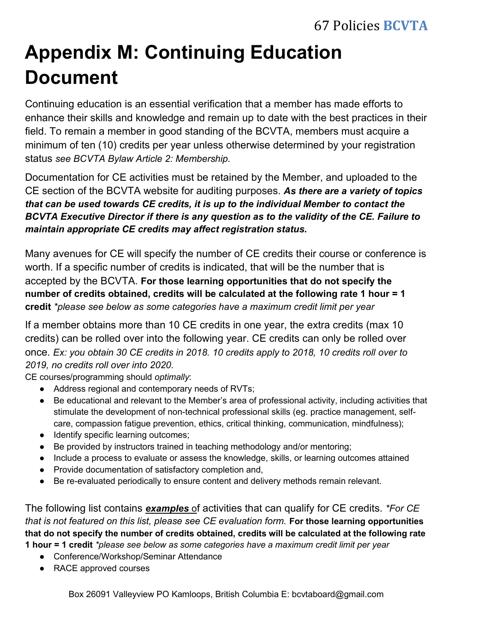## **Appendix M: Continuing Education Document**

Continuing education is an essential verification that a member has made efforts to enhance their skills and knowledge and remain up to date with the best practices in their field. To remain a member in good standing of the BCVTA, members must acquire a minimum of ten (10) credits per year unless otherwise determined by your registration status *see BCVTA Bylaw Article 2: Membership.* 

Documentation for CE activities must be retained by the Member, and uploaded to the CE section of the BCVTA website for auditing purposes. *As there are a variety of topics that can be used towards CE credits, it is up to the individual Member to contact the BCVTA Executive Director if there is any question as to the validity of the CE. Failure to maintain appropriate CE credits may affect registration status.* 

Many avenues for CE will specify the number of CE credits their course or conference is worth. If a specific number of credits is indicated, that will be the number that is accepted by the BCVTA. **For those learning opportunities that do not specify the number of credits obtained, credits will be calculated at the following rate 1 hour = 1 credit** *\*please see below as some categories have a maximum credit limit per year* 

If a member obtains more than 10 CE credits in one year, the extra credits (max 10 credits) can be rolled over into the following year. CE credits can only be rolled over once. *Ex: you obtain 30 CE credits in 2018. 10 credits apply to 2018, 10 credits roll over to 2019, no credits roll over into 2020.* 

CE courses/programming should *optimally*:

- Ɣ Address regional and contemporary needs of RVTs;
- Be educational and relevant to the Member's area of professional activity, including activities that stimulate the development of non-technical professional skills (eg. practice management, selfcare, compassion fatigue prevention, ethics, critical thinking, communication, mindfulness);
- Identify specific learning outcomes;
- Be provided by instructors trained in teaching methodology and/or mentoring;
- Include a process to evaluate or assess the knowledge, skills, or learning outcomes attained
- Provide documentation of satisfactory completion and,
- Be re-evaluated periodically to ensure content and delivery methods remain relevant.

The following list contains *examples* of activities that can qualify for CE credits. *\*For CE that is not featured on this list, please see CE evaluation form.* For those learning opportunities **that do not specify the number of credits obtained, credits will be calculated at the following rate 1 hour = 1 credit** *\*please see below as some categories have a maximum credit limit per year* 

- Ɣ Conference/Workshop/Seminar Attendance
- RACE approved courses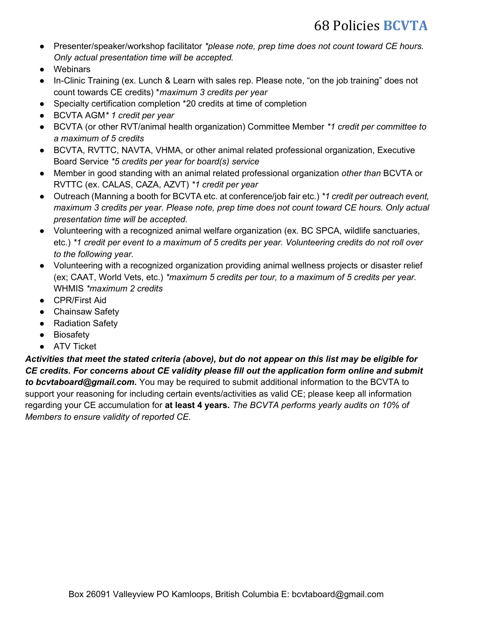- Ɣ Presenter/speaker/workshop facilitator *\*please note, prep time does not count toward CE hours. Only actual presentation time will be accepted.*
- Webinars
- In-Clinic Training (ex. Lunch & Learn with sales rep. Please note, "on the job training" does not count towards CE credits) \**maximum 3 credits per year*
- Specialty certification completion \*20 credits at time of completion
- Ɣ BCVTA AGM*\* 1 credit per year*
- Ɣ BCVTA (or other RVT/animal health organization) Committee Member *\*1 credit per committee to a maximum of 5 credits*
- BCVTA, RVTTC, NAVTA, VHMA, or other animal related professional organization, Executive Board Service *\*5 credits per year for board(s) service*
- Ɣ Member in good standing with an animal related professional organization *other than* BCVTA or RVTTC (ex. CALAS, CAZA, AZVT) *\*1 credit per year*
- Ɣ Outreach (Manning a booth for BCVTA etc. at conference/job fair etc.) *\*1 credit per outreach event, maximum 3 credits per year. Please note, prep time does not count toward CE hours. Only actual presentation time will be accepted.*
- Ɣ Volunteering with a recognized animal welfare organization (ex. BC SPCA, wildlife sanctuaries, etc.) *\*1 credit per event to a maximum of 5 credits per year. Volunteering credits do not roll over to the following year.*
- Volunteering with a recognized organization providing animal wellness projects or disaster relief (ex; CAAT, World Vets, etc.) *\*maximum 5 credits per tour, to a maximum of 5 credits per year.*  WHMIS *\*maximum 2 credits*
- CPR/First Aid
- Chainsaw Safety
- Radiation Safety
- Biosafety
- ATV Ticket

*Activities that meet the stated criteria (above), but do not appear on this list may be eligible for CE credits. For concerns about CE validity please fill out the application form online and submit to bcvtaboard@gmail.com.* You may be required to submit additional information to the BCVTA to support your reasoning for including certain events/activities as valid CE; please keep all information regarding your CE accumulation for **at least 4 years.** *The BCVTA performs yearly audits on 10% of Members to ensure validity of reported CE.*